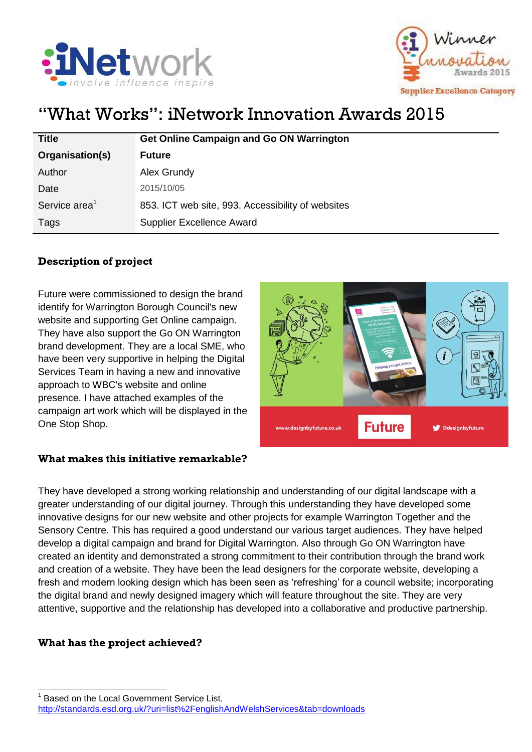



# "What Works": iNetwork Innovation Awards 2015

| <b>Title</b>              | <b>Get Online Campaign and Go ON Warrington</b>   |
|---------------------------|---------------------------------------------------|
| Organisation(s)           | <b>Future</b>                                     |
| Author                    | Alex Grundy                                       |
| Date                      | 2015/10/05                                        |
| Service area <sup>1</sup> | 853. ICT web site, 993. Accessibility of websites |
| Tags                      | <b>Supplier Excellence Award</b>                  |

## **Description of project**

Future were commissioned to design the brand identify for Warrington Borough Council's new website and supporting Get Online campaign. They have also support the Go ON Warrington brand development. They are a local SME, who have been very supportive in helping the Digital Services Team in having a new and innovative approach to WBC's website and online presence. I have attached examples of the campaign art work which will be displayed in the One Stop Shop.



#### **What makes this initiative remarkable?**

They have developed a strong working relationship and understanding of our digital landscape with a greater understanding of our digital journey. Through this understanding they have developed some innovative designs for our new website and other projects for example Warrington Together and the Sensory Centre. This has required a good understand our various target audiences. They have helped develop a digital campaign and brand for Digital Warrington. Also through Go ON Warrington have created an identity and demonstrated a strong commitment to their contribution through the brand work and creation of a website. They have been the lead designers for the corporate website, developing a fresh and modern looking design which has been seen as 'refreshing' for a council website; incorporating the digital brand and newly designed imagery which will feature throughout the site. They are very attentive, supportive and the relationship has developed into a collaborative and productive partnership.

### **What has the project achieved?**

 $\overline{a}$